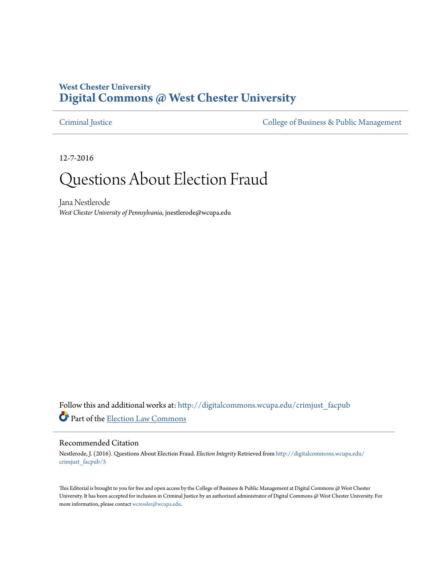#### **West Chester University [Digital Commons @ West Chester University](http://digitalcommons.wcupa.edu?utm_source=digitalcommons.wcupa.edu%2Fcrimjust_facpub%2F5&utm_medium=PDF&utm_campaign=PDFCoverPages)**

[Criminal Justice](http://digitalcommons.wcupa.edu/crimjust_facpub?utm_source=digitalcommons.wcupa.edu%2Fcrimjust_facpub%2F5&utm_medium=PDF&utm_campaign=PDFCoverPages) [College of Business & Public Management](http://digitalcommons.wcupa.edu/cbpa?utm_source=digitalcommons.wcupa.edu%2Fcrimjust_facpub%2F5&utm_medium=PDF&utm_campaign=PDFCoverPages)

12-7-2016

# Questions About Election Fraud

Jana Nestlerode *West Chester University of Pennsylvania*, jnestlerode@wcupa.edu

Follow this and additional works at: [http://digitalcommons.wcupa.edu/crimjust\\_facpub](http://digitalcommons.wcupa.edu/crimjust_facpub?utm_source=digitalcommons.wcupa.edu%2Fcrimjust_facpub%2F5&utm_medium=PDF&utm_campaign=PDFCoverPages) Part of the [Election Law Commons](http://network.bepress.com/hgg/discipline/1121?utm_source=digitalcommons.wcupa.edu%2Fcrimjust_facpub%2F5&utm_medium=PDF&utm_campaign=PDFCoverPages)

#### Recommended Citation

Nestlerode, J. (2016). Questions About Election Fraud. *Election Integrity* Retrieved from [http://digitalcommons.wcupa.edu/](http://digitalcommons.wcupa.edu/crimjust_facpub/5?utm_source=digitalcommons.wcupa.edu%2Fcrimjust_facpub%2F5&utm_medium=PDF&utm_campaign=PDFCoverPages) [crimjust\\_facpub/5](http://digitalcommons.wcupa.edu/crimjust_facpub/5?utm_source=digitalcommons.wcupa.edu%2Fcrimjust_facpub%2F5&utm_medium=PDF&utm_campaign=PDFCoverPages)

This Editorial is brought to you for free and open access by the College of Business & Public Management at Digital Commons @ West Chester University. It has been accepted for inclusion in Criminal Justice by an authorized administrator of Digital Commons @ West Chester University. For more information, please contact [wcressler@wcupa.edu](mailto:wcressler@wcupa.edu).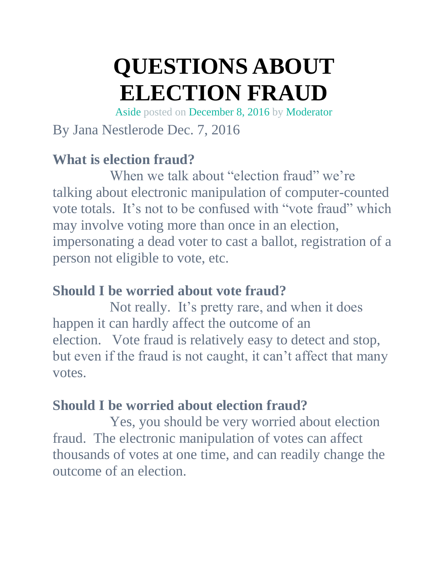# **QUESTIONS ABOUT ELECTION FRAUD**

[Aside](https://electionintegrity.wordpress.com/type/aside/) posted on [December](https://electionintegrity.wordpress.com/2016/12/08/questions-about-election-fraud/) 8, 2016 by [Moderator](https://electionintegrity.wordpress.com/author/dael4/)

## By Jana Nestlerode Dec. 7, 2016

#### **What is election fraud?**

When we talk about "election fraud" we're talking about electronic manipulation of computer-counted vote totals. It's not to be confused with "vote fraud" which may involve voting more than once in an election, impersonating a dead voter to cast a ballot, registration of a person not eligible to vote, etc.

#### **Should I be worried about vote fraud?**

Not really. It's pretty rare, and when it does happen it can hardly affect the outcome of an election. Vote fraud is relatively easy to detect and stop, but even if the fraud is not caught, it can't affect that many votes.

## **Should I be worried about election fraud?**

Yes, you should be very worried about election fraud. The electronic manipulation of votes can affect thousands of votes at one time, and can readily change the outcome of an election.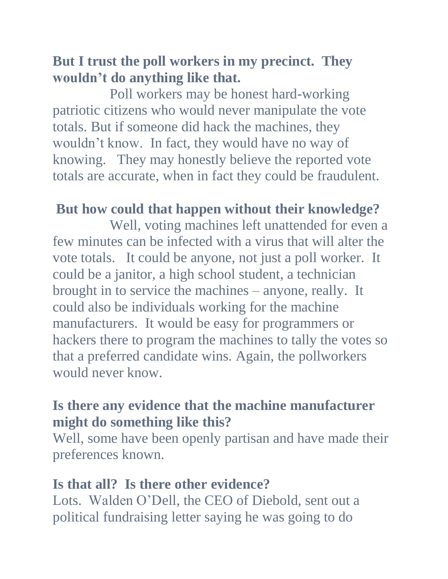#### **But I trust the poll workers in my precinct. They wouldn't do anything like that.**

Poll workers may be honest hard-working patriotic citizens who would never manipulate the vote totals. But if someone did hack the machines, they wouldn't know. In fact, they would have no way of knowing. They may honestly believe the reported vote totals are accurate, when in fact they could be fraudulent.

#### **But how could that happen without their knowledge?**

Well, voting machines left unattended for even a few minutes can be infected with a virus that will alter the vote totals. It could be anyone, not just a poll worker. It could be a janitor, a high school student, a technician brought in to service the machines – anyone, really. It could also be individuals working for the machine manufacturers. It would be easy for programmers or hackers there to program the machines to tally the votes so that a preferred candidate wins. Again, the pollworkers would never know.

#### **Is there any evidence that the machine manufacturer might do something like this?**

Well, some have been openly partisan and have made their preferences known.

#### **Is that all? Is there other evidence?**

Lots. Walden O'Dell, the CEO of Diebold, sent out a political fundraising letter saying he was going to do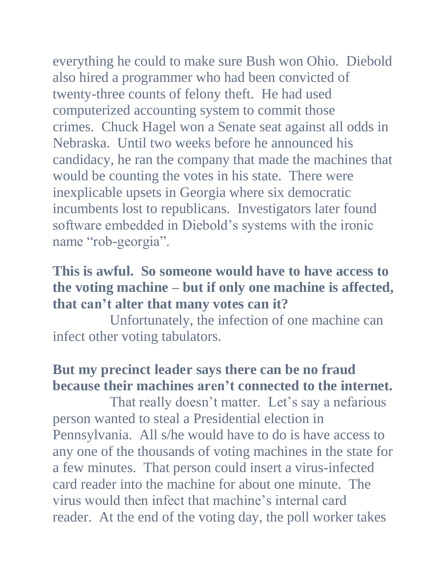everything he could to make sure Bush won Ohio. Diebold also hired a programmer who had been convicted of twenty-three counts of felony theft. He had used computerized accounting system to commit those crimes. Chuck Hagel won a Senate seat against all odds in Nebraska. Until two weeks before he announced his candidacy, he ran the company that made the machines that would be counting the votes in his state. There were inexplicable upsets in Georgia where six democratic incumbents lost to republicans. Investigators later found software embedded in Diebold's systems with the ironic

#### name "rob-georgia".

#### **This is awful. So someone would have to have access to the voting machine – but if only one machine is affected, that can't alter that many votes can it?**

Unfortunately, the infection of one machine can infect other voting tabulators.

#### **But my precinct leader says there can be no fraud because their machines aren't connected to the internet.**

That really doesn't matter. Let's say a nefarious person wanted to steal a Presidential election in Pennsylvania. All s/he would have to do is have access to any one of the thousands of voting machines in the state for a few minutes. That person could insert a virus-infected card reader into the machine for about one minute. The virus would then infect that machine's internal card reader. At the end of the voting day, the poll worker takes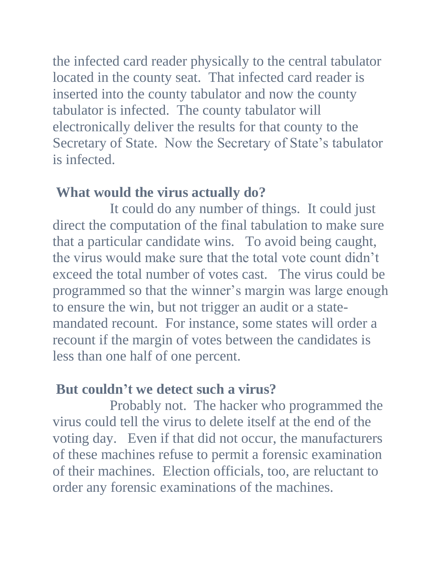the infected card reader physically to the central tabulator located in the county seat. That infected card reader is inserted into the county tabulator and now the county tabulator is infected. The county tabulator will electronically deliver the results for that county to the Secretary of State. Now the Secretary of State's tabulator is infected.

#### **What would the virus actually do?**

It could do any number of things. It could just direct the computation of the final tabulation to make sure that a particular candidate wins. To avoid being caught, the virus would make sure that the total vote count didn't exceed the total number of votes cast. The virus could be programmed so that the winner's margin was large enough to ensure the win, but not trigger an audit or a statemandated recount. For instance, some states will order a recount if the margin of votes between the candidates is less than one half of one percent.

#### **But couldn't we detect such a virus?**

Probably not. The hacker who programmed the virus could tell the virus to delete itself at the end of the voting day. Even if that did not occur, the manufacturers of these machines refuse to permit a forensic examination of their machines. Election officials, too, are reluctant to order any forensic examinations of the machines.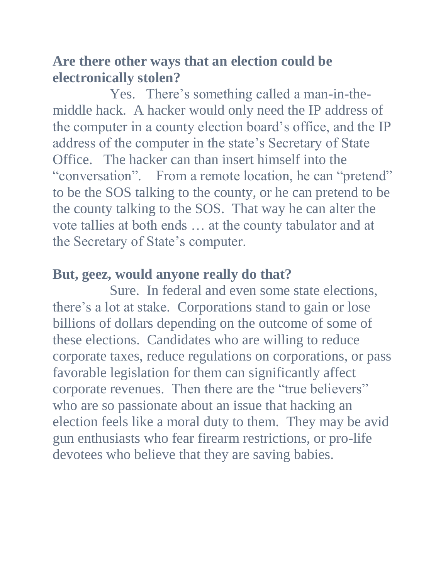#### **Are there other ways that an election could be electronically stolen?**

Yes. There's something called a man-in-themiddle hack. A hacker would only need the IP address of the computer in a county election board's office, and the IP address of the computer in the state's Secretary of State Office. The hacker can than insert himself into the "conversation". From a remote location, he can "pretend" to be the SOS talking to the county, or he can pretend to be the county talking to the SOS. That way he can alter the vote tallies at both ends … at the county tabulator and at the Secretary of State's computer.

#### **But, geez, would anyone really do that?**

Sure. In federal and even some state elections, there's a lot at stake. Corporations stand to gain or lose billions of dollars depending on the outcome of some of these elections. Candidates who are willing to reduce corporate taxes, reduce regulations on corporations, or pass favorable legislation for them can significantly affect corporate revenues. Then there are the "true believers" who are so passionate about an issue that hacking an election feels like a moral duty to them. They may be avid gun enthusiasts who fear firearm restrictions, or pro-life devotees who believe that they are saving babies.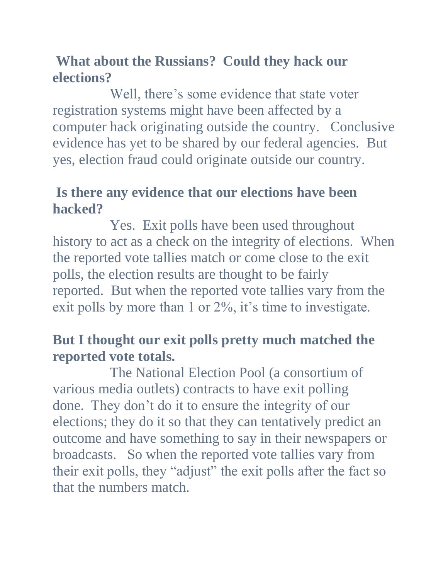#### **What about the Russians? Could they hack our elections?**

Well, there's some evidence that state voter registration systems might have been affected by a computer hack originating outside the country. Conclusive evidence has yet to be shared by our federal agencies. But yes, election fraud could originate outside our country.

#### **Is there any evidence that our elections have been hacked?**

Yes. Exit polls have been used throughout history to act as a check on the integrity of elections. When the reported vote tallies match or come close to the exit polls, the election results are thought to be fairly reported. But when the reported vote tallies vary from the exit polls by more than 1 or 2%, it's time to investigate.

#### **But I thought our exit polls pretty much matched the reported vote totals.**

The National Election Pool (a consortium of various media outlets) contracts to have exit polling done. They don't do it to ensure the integrity of our elections; they do it so that they can tentatively predict an outcome and have something to say in their newspapers or broadcasts. So when the reported vote tallies vary from their exit polls, they "adjust" the exit polls after the fact so that the numbers match.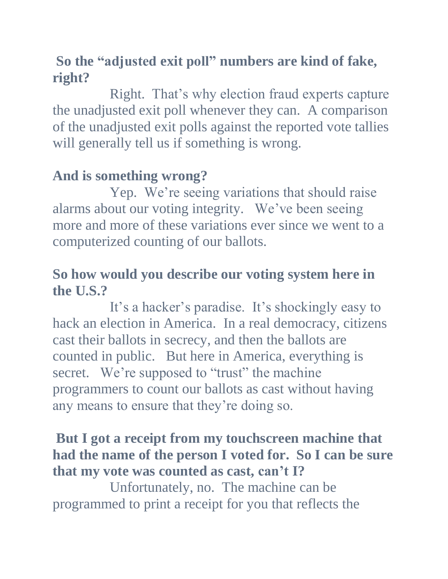#### **So the "adjusted exit poll" numbers are kind of fake, right?**

Right. That's why election fraud experts capture the unadjusted exit poll whenever they can. A comparison of the unadjusted exit polls against the reported vote tallies will generally tell us if something is wrong.

## **And is something wrong?**

Yep. We're seeing variations that should raise alarms about our voting integrity. We've been seeing more and more of these variations ever since we went to a computerized counting of our ballots.

#### **So how would you describe our voting system here in the U.S.?**

It's a hacker's paradise. It's shockingly easy to hack an election in America. In a real democracy, citizens cast their ballots in secrecy, and then the ballots are counted in public. But here in America, everything is secret. We're supposed to "trust" the machine programmers to count our ballots as cast without having any means to ensure that they're doing so.

#### **But I got a receipt from my touchscreen machine that had the name of the person I voted for. So I can be sure that my vote was counted as cast, can't I?**

Unfortunately, no. The machine can be programmed to print a receipt for you that reflects the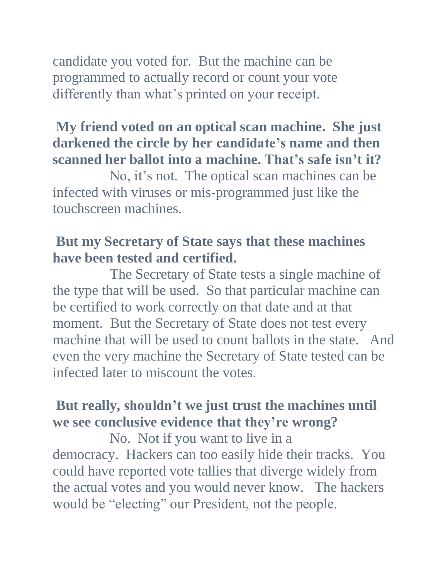candidate you voted for. But the machine can be programmed to actually record or count your vote differently than what's printed on your receipt.

#### **My friend voted on an optical scan machine. She just darkened the circle by her candidate's name and then scanned her ballot into a machine. That's safe isn't it?**

No, it's not. The optical scan machines can be infected with viruses or mis-programmed just like the touchscreen machines.

#### **But my Secretary of State says that these machines have been tested and certified.**

The Secretary of State tests a single machine of the type that will be used. So that particular machine can be certified to work correctly on that date and at that moment. But the Secretary of State does not test every machine that will be used to count ballots in the state. And even the very machine the Secretary of State tested can be infected later to miscount the votes.

#### **But really, shouldn't we just trust the machines until we see conclusive evidence that they're wrong?**

No. Not if you want to live in a democracy. Hackers can too easily hide their tracks. You could have reported vote tallies that diverge widely from the actual votes and you would never know. The hackers would be "electing" our President, not the people.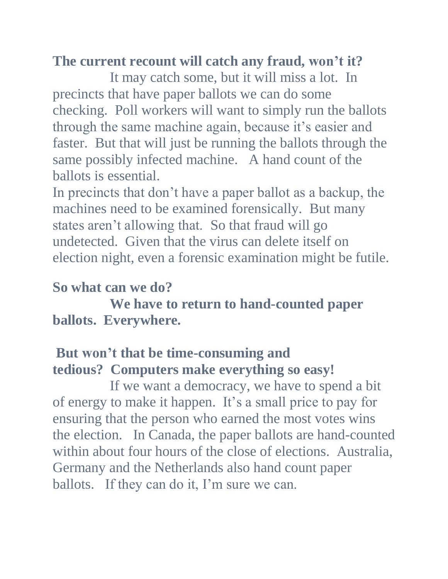#### **The current recount will catch any fraud, won't it?**

It may catch some, but it will miss a lot. In precincts that have paper ballots we can do some checking. Poll workers will want to simply run the ballots through the same machine again, because it's easier and faster. But that will just be running the ballots through the same possibly infected machine. A hand count of the ballots is essential.

In precincts that don't have a paper ballot as a backup, the machines need to be examined forensically. But many states aren't allowing that. So that fraud will go undetected. Given that the virus can delete itself on election night, even a forensic examination might be futile.

#### **So what can we do?**

 **We have to return to hand-counted paper ballots. Everywhere.**

#### **But won't that be time-consuming and tedious? Computers make everything so easy!**

If we want a democracy, we have to spend a bit of energy to make it happen. It's a small price to pay for ensuring that the person who earned the most votes wins the election. In Canada, the paper ballots are hand-counted within about four hours of the close of elections. Australia, Germany and the Netherlands also hand count paper ballots. If they can do it, I'm sure we can.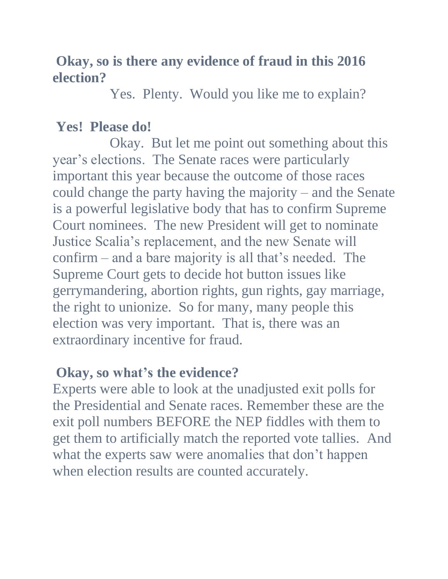#### **Okay, so is there any evidence of fraud in this 2016 election?**

Yes. Plenty. Would you like me to explain?

#### **Yes! Please do!**

Okay. But let me point out something about this year's elections. The Senate races were particularly important this year because the outcome of those races could change the party having the majority – and the Senate is a powerful legislative body that has to confirm Supreme Court nominees. The new President will get to nominate Justice Scalia's replacement, and the new Senate will confirm – and a bare majority is all that's needed. The Supreme Court gets to decide hot button issues like gerrymandering, abortion rights, gun rights, gay marriage, the right to unionize. So for many, many people this election was very important. That is, there was an extraordinary incentive for fraud.

#### **Okay, so what's the evidence?**

Experts were able to look at the unadjusted exit polls for the Presidential and Senate races. Remember these are the exit poll numbers BEFORE the NEP fiddles with them to get them to artificially match the reported vote tallies. And what the experts saw were anomalies that don't happen when election results are counted accurately.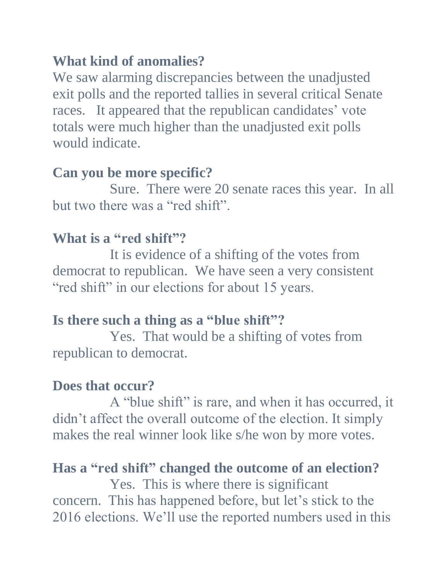#### **What kind of anomalies?**

We saw alarming discrepancies between the unadjusted exit polls and the reported tallies in several critical Senate races. It appeared that the republican candidates' vote totals were much higher than the unadjusted exit polls would indicate.

#### **Can you be more specific?**

Sure. There were 20 senate races this year. In all but two there was a "red shift".

#### **What is a "red shift"?**

It is evidence of a shifting of the votes from democrat to republican. We have seen a very consistent "red shift" in our elections for about 15 years.

#### **Is there such a thing as a "blue shift"?**

Yes. That would be a shifting of votes from republican to democrat.

#### **Does that occur?**

A "blue shift" is rare, and when it has occurred, it didn't affect the overall outcome of the election. It simply makes the real winner look like s/he won by more votes.

#### **Has a "red shift" changed the outcome of an election?**

Yes. This is where there is significant concern. This has happened before, but let's stick to the 2016 elections. We'll use the reported numbers used in this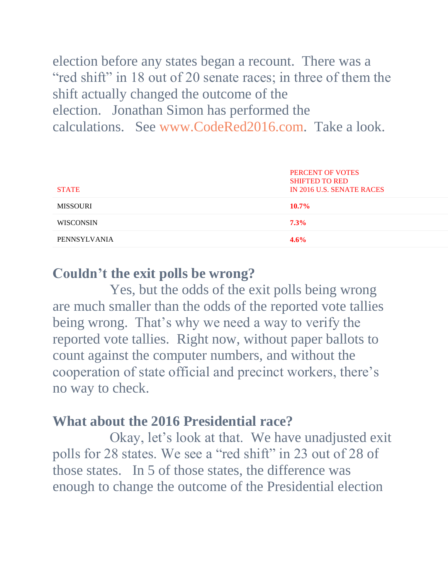election before any states began a recount. There was a "red shift" in 18 out of 20 senate races; in three of them the shift actually changed the outcome of the election. Jonathan Simon has performed the calculations. See [www.CodeRed2016.com.](http://www.codered2016.com/) Take a look.

| <b>STATE</b>     | PERCENT OF VOTES<br><b>SHIFTED TO RED</b><br>IN 2016 U.S. SENATE RACES |
|------------------|------------------------------------------------------------------------|
| <b>MISSOURI</b>  | $10.7\%$                                                               |
| <b>WISCONSIN</b> | $7.3\%$                                                                |
| PENNSYLVANIA     | 4.6%                                                                   |

#### **Couldn't the exit polls be wrong?**

Yes, but the odds of the exit polls being wrong are much smaller than the odds of the reported vote tallies being wrong. That's why we need a way to verify the reported vote tallies. Right now, without paper ballots to count against the computer numbers, and without the cooperation of state official and precinct workers, there's no way to check.

#### **What about the 2016 Presidential race?**

Okay, let's look at that. We have unadjusted exit polls for 28 states. We see a "red shift" in 23 out of 28 of those states. In 5 of those states, the difference was enough to change the outcome of the Presidential election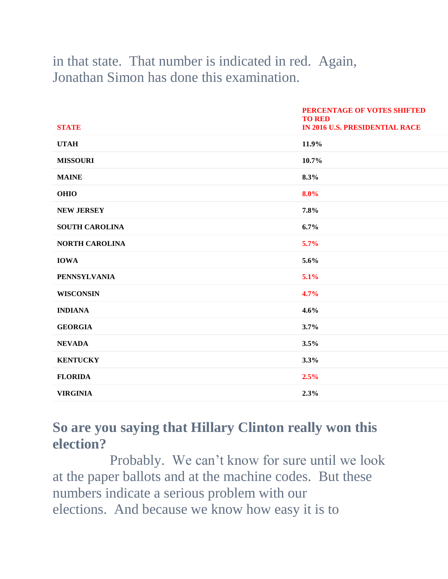#### in that state. That number is indicated in red. Again, Jonathan Simon has done this examination.

| <b>STATE</b>          | PERCENTAGE OF VOTES SHIFTED<br><b>TO RED</b><br><b>IN 2016 U.S. PRESIDENTIAL RACE</b> |
|-----------------------|---------------------------------------------------------------------------------------|
| <b>UTAH</b>           | 11.9%                                                                                 |
| <b>MISSOURI</b>       | 10.7%                                                                                 |
| <b>MAINE</b>          | 8.3%                                                                                  |
| <b>OHIO</b>           | 8.0%                                                                                  |
| <b>NEW JERSEY</b>     | 7.8%                                                                                  |
| <b>SOUTH CAROLINA</b> | 6.7%                                                                                  |
| <b>NORTH CAROLINA</b> | 5.7%                                                                                  |
| <b>IOWA</b>           | 5.6%                                                                                  |
| <b>PENNSYLVANIA</b>   | 5.1%                                                                                  |
| <b>WISCONSIN</b>      | 4.7%                                                                                  |
| <b>INDIANA</b>        | 4.6%                                                                                  |
| <b>GEORGIA</b>        | 3.7%                                                                                  |
| <b>NEVADA</b>         | 3.5%                                                                                  |
| <b>KENTUCKY</b>       | 3.3%                                                                                  |
| <b>FLORIDA</b>        | 2.5%                                                                                  |
| <b>VIRGINIA</b>       | 2.3%                                                                                  |

#### **So are you saying that Hillary Clinton really won this election?**

Probably. We can't know for sure until we look at the paper ballots and at the machine codes. But these numbers indicate a serious problem with our elections. And because we know how easy it is to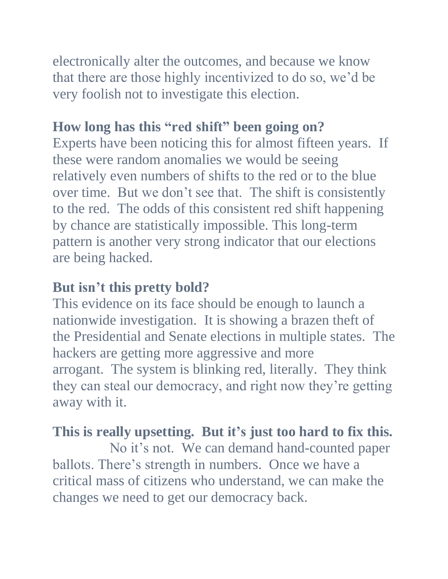electronically alter the outcomes, and because we know that there are those highly incentivized to do so, we'd be very foolish not to investigate this election.

#### **How long has this "red shift" been going on?**

Experts have been noticing this for almost fifteen years. If these were random anomalies we would be seeing relatively even numbers of shifts to the red or to the blue over time. But we don't see that. The shift is consistently to the red. The odds of this consistent red shift happening by chance are statistically impossible. This long-term pattern is another very strong indicator that our elections are being hacked.

#### **But isn't this pretty bold?**

This evidence on its face should be enough to launch a nationwide investigation. It is showing a brazen theft of the Presidential and Senate elections in multiple states. The hackers are getting more aggressive and more arrogant. The system is blinking red, literally. They think they can steal our democracy, and right now they're getting away with it.

#### **This is really upsetting. But it's just too hard to fix this.**

No it's not. We can demand hand-counted paper ballots. There's strength in numbers. Once we have a critical mass of citizens who understand, we can make the changes we need to get our democracy back.